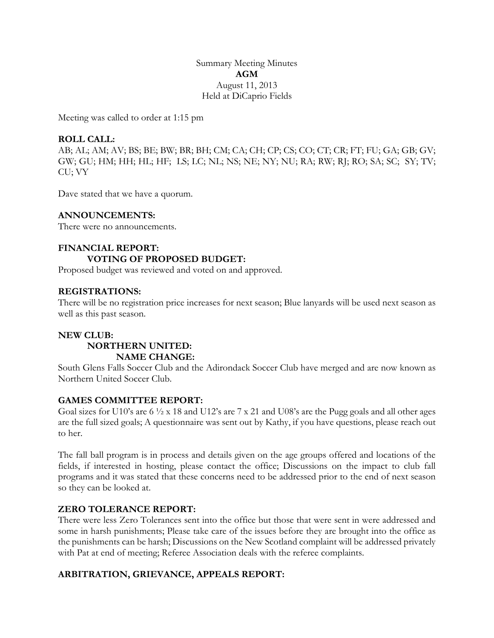Summary Meeting Minutes **AGM** August 11, 2013 Held at DiCaprio Fields

Meeting was called to order at 1:15 pm

# **ROLL CALL:**

AB; AL; AM; AV; BS; BE; BW; BR; BH; CM; CA; CH; CP; CS; CO; CT; CR; FT; FU; GA; GB; GV; GW; GU; HM; HH; HL; HF; LS; LC; NL; NS; NE; NY; NU; RA; RW; RJ; RO; SA; SC; SY; TV; CU; VY

Dave stated that we have a quorum.

## **ANNOUNCEMENTS:**

There were no announcements.

# **FINANCIAL REPORT: VOTING OF PROPOSED BUDGET:**

Proposed budget was reviewed and voted on and approved.

## **REGISTRATIONS:**

There will be no registration price increases for next season; Blue lanyards will be used next season as well as this past season.

# **NEW CLUB: NORTHERN UNITED: NAME CHANGE:**

South Glens Falls Soccer Club and the Adirondack Soccer Club have merged and are now known as Northern United Soccer Club.

## **GAMES COMMITTEE REPORT:**

Goal sizes for U10's are 6 ½ x 18 and U12's are 7 x 21 and U08's are the Pugg goals and all other ages are the full sized goals; A questionnaire was sent out by Kathy, if you have questions, please reach out to her.

The fall ball program is in process and details given on the age groups offered and locations of the fields, if interested in hosting, please contact the office; Discussions on the impact to club fall programs and it was stated that these concerns need to be addressed prior to the end of next season so they can be looked at.

## **ZERO TOLERANCE REPORT:**

There were less Zero Tolerances sent into the office but those that were sent in were addressed and some in harsh punishments; Please take care of the issues before they are brought into the office as the punishments can be harsh; Discussions on the New Scotland complaint will be addressed privately with Pat at end of meeting; Referee Association deals with the referee complaints.

## **ARBITRATION, GRIEVANCE, APPEALS REPORT:**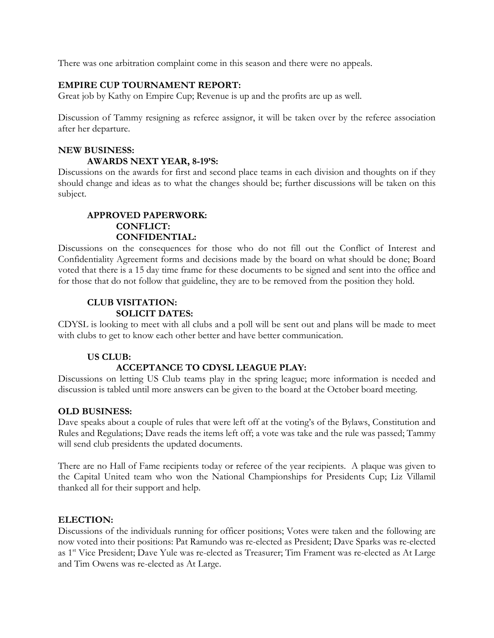There was one arbitration complaint come in this season and there were no appeals.

#### **EMPIRE CUP TOURNAMENT REPORT:**

Great job by Kathy on Empire Cup; Revenue is up and the profits are up as well.

Discussion of Tammy resigning as referee assignor, it will be taken over by the referee association after her departure.

# **NEW BUSINESS: AWARDS NEXT YEAR, 8-19'S:**

Discussions on the awards for first and second place teams in each division and thoughts on if they should change and ideas as to what the changes should be; further discussions will be taken on this subject.

# **APPROVED PAPERWORK: CONFLICT: CONFIDENTIAL:**

Discussions on the consequences for those who do not fill out the Conflict of Interest and Confidentiality Agreement forms and decisions made by the board on what should be done; Board voted that there is a 15 day time frame for these documents to be signed and sent into the office and for those that do not follow that guideline, they are to be removed from the position they hold.

# **CLUB VISITATION: SOLICIT DATES:**

CDYSL is looking to meet with all clubs and a poll will be sent out and plans will be made to meet with clubs to get to know each other better and have better communication.

## **US CLUB:**

# **ACCEPTANCE TO CDYSL LEAGUE PLAY:**

Discussions on letting US Club teams play in the spring league; more information is needed and discussion is tabled until more answers can be given to the board at the October board meeting.

## **OLD BUSINESS:**

Dave speaks about a couple of rules that were left off at the voting's of the Bylaws, Constitution and Rules and Regulations; Dave reads the items left off; a vote was take and the rule was passed; Tammy will send club presidents the updated documents.

There are no Hall of Fame recipients today or referee of the year recipients. A plaque was given to the Capital United team who won the National Championships for Presidents Cup; Liz Villamil thanked all for their support and help.

#### **ELECTION:**

Discussions of the individuals running for officer positions; Votes were taken and the following are now voted into their positions: Pat Ramundo was re-elected as President; Dave Sparks was re-elected as 1st Vice President; Dave Yule was re-elected as Treasurer; Tim Frament was re-elected as At Large and Tim Owens was re-elected as At Large.